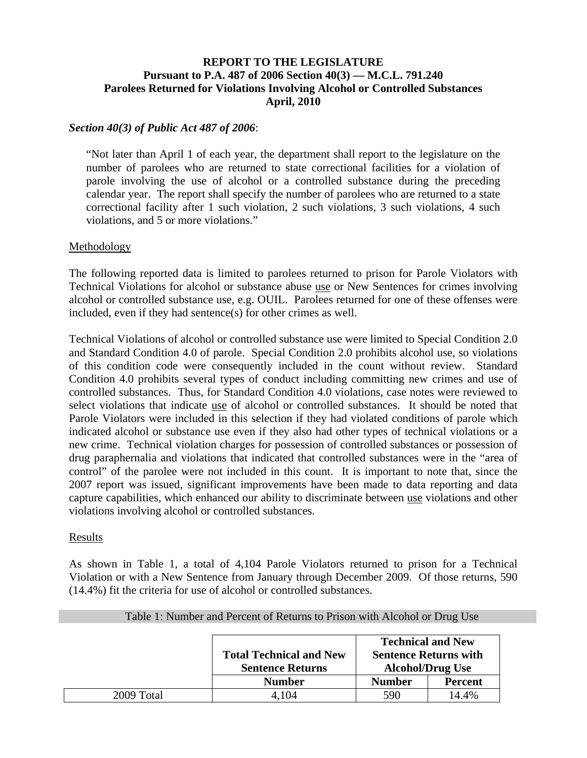# **REPORT TO THE LEGISLATURE Pursuant to P.A. 487 of 2006 Section 40(3) — M.C.L. 791.240 Parolees Returned for Violations Involving Alcohol or Controlled Substances April, 2010**

### *Section 40(3) of Public Act 487 of 2006*:

"Not later than April 1 of each year, the department shall report to the legislature on the number of parolees who are returned to state correctional facilities for a violation of parole involving the use of alcohol or a controlled substance during the preceding calendar year. The report shall specify the number of parolees who are returned to a state correctional facility after 1 such violation, 2 such violations, 3 such violations, 4 such violations, and 5 or more violations."

#### Methodology

The following reported data is limited to parolees returned to prison for Parole Violators with Technical Violations for alcohol or substance abuse use or New Sentences for crimes involving alcohol or controlled substance use, e.g. OUIL. Parolees returned for one of these offenses were included, even if they had sentence(s) for other crimes as well.

Technical Violations of alcohol or controlled substance use were limited to Special Condition 2.0 and Standard Condition 4.0 of parole. Special Condition 2.0 prohibits alcohol use, so violations of this condition code were consequently included in the count without review. Standard Condition 4.0 prohibits several types of conduct including committing new crimes and use of controlled substances. Thus, for Standard Condition 4.0 violations, case notes were reviewed to select violations that indicate use of alcohol or controlled substances. It should be noted that Parole Violators were included in this selection if they had violated conditions of parole which indicated alcohol or substance use even if they also had other types of technical violations or a new crime. Technical violation charges for possession of controlled substances or possession of drug paraphernalia and violations that indicated that controlled substances were in the "area of control" of the parolee were not included in this count. It is important to note that, since the 2007 report was issued, significant improvements have been made to data reporting and data capture capabilities, which enhanced our ability to discriminate between use violations and other violations involving alcohol or controlled substances.

#### Results

As shown in Table 1, a total of 4,104 Parole Violators returned to prison for a Technical Violation or with a New Sentence from January through December 2009. Of those returns, 590 (14.4%) fit the criteria for use of alcohol or controlled substances.

|            |                                                           | <b>Technical and New</b>                                |                |  |  |  |
|------------|-----------------------------------------------------------|---------------------------------------------------------|----------------|--|--|--|
|            | <b>Total Technical and New</b><br><b>Sentence Returns</b> | <b>Sentence Returns with</b><br><b>Alcohol/Drug Use</b> |                |  |  |  |
|            | <b>Number</b>                                             | <b>Number</b>                                           | <b>Percent</b> |  |  |  |
| 2009 Total | 4,104                                                     | 590                                                     | 14.4%          |  |  |  |

## Table 1: Number and Percent of Returns to Prison with Alcohol or Drug Use